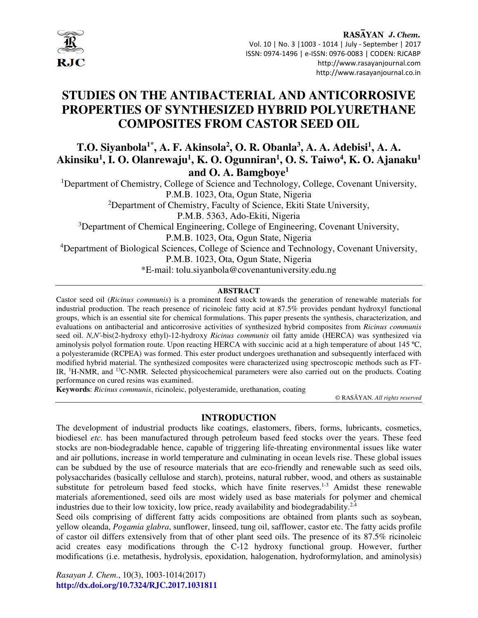

# **STUDIES ON THE ANTIBACTERIAL AND ANTICORROSIVE PROPERTIES OF SYNTHESIZED HYBRID POLYURETHANE COMPOSITES FROM CASTOR SEED OIL**

## **T.O. Siyanbola1\*, A. F. Akinsola<sup>2</sup> , O. R. Obanla<sup>3</sup> , A. A. Adebisi<sup>1</sup> , A. A. Akinsiku<sup>1</sup> , I. O. Olanrewaju<sup>1</sup> , K. O. Ogunniran<sup>1</sup> , O. S. Taiwo<sup>4</sup> , K. O. Ajanaku<sup>1</sup> and O. A. Bamgboye<sup>1</sup>**

<sup>1</sup>Department of Chemistry, College of Science and Technology, College, Covenant University, P.M.B. 1023, Ota, Ogun State, Nigeria

<sup>2</sup>Department of Chemistry, Faculty of Science, Ekiti State University,

P.M.B. 5363, Ado-Ekiti, Nigeria

<sup>3</sup>Department of Chemical Engineering, College of Engineering, Covenant University,

P.M.B. 1023, Ota, Ogun State, Nigeria

<sup>4</sup>Department of Biological Sciences, College of Science and Technology, Covenant University, P.M.B. 1023, Ota, Ogun State, Nigeria

\*E-mail: tolu.siyanbola@covenantuniversity.edu.ng

#### **ABSTRACT**

Castor seed oil (*Ricinus communis*) is a prominent feed stock towards the generation of renewable materials for industrial production. The reach presence of ricinoleic fatty acid at 87.5% provides pendant hydroxyl functional groups, which is an essential site for chemical formulations. This paper presents the synthesis, characterization, and evaluations on antibacterial and anticorrosive activities of synthesized hybrid composites from *Ricinus communis* seed oil. *N,N'*-bis(2-hydroxy ethyl)-12-hydroxy *Ricinus communis* oil fatty amide (HERCA) was synthesized via aminolysis polyol formation route. Upon reacting HERCA with succinic acid at a high temperature of about 145 ºC, a polyesteramide (RCPEA) was formed. This ester product undergoes urethanation and subsequently interfaced with modified hybrid material. The synthesized composites were characterized using spectroscopic methods such as FT-IR, <sup>1</sup>H-NMR, and <sup>13</sup>C-NMR. Selected physicochemical parameters were also carried out on the products. Coating performance on cured resins was examined.

**Keywords**: *Ricinus communis*, ricinoleic, polyesteramide, urethanation, coating

© RASĀYAN. *All rights reserved*

## **INTRODUCTION**

The development of industrial products like coatings, elastomers, fibers, forms, lubricants, cosmetics, biodiesel *etc.* has been manufactured through petroleum based feed stocks over the years. These feed stocks are non-biodegradable hence, capable of triggering life-threating environmental issues like water and air pollutions, increase in world temperature and culminating in ocean levels rise. These global issues can be subdued by the use of resource materials that are eco-friendly and renewable such as seed oils, polysaccharides (basically cellulose and starch), proteins, natural rubber, wood, and others as sustainable substitute for petroleum based feed stocks, which have finite reserves.<sup>1-3</sup> Amidst these renewable materials aforementioned, seed oils are most widely used as base materials for polymer and chemical industries due to their low toxicity, low price, ready availability and biodegradability.<sup>2,4</sup>

Seed oils comprising of different fatty acids compositions are obtained from plants such as soybean, yellow oleanda, *Pogamia glabra*, sunflower, linseed, tung oil, safflower, castor etc. The fatty acids profile of castor oil differs extensively from that of other plant seed oils. The presence of its 87.5% ricinoleic acid creates easy modifications through the C-12 hydroxy functional group. However, further modifications (i.e. metathesis, hydrolysis, epoxidation, halogenation, hydroformylation, and aminolysis)

*Rasayan J. Chem*., 10(3), 1003-1014(2017) **http://dx.doi.org/10.7324/RJC.2017.1031811**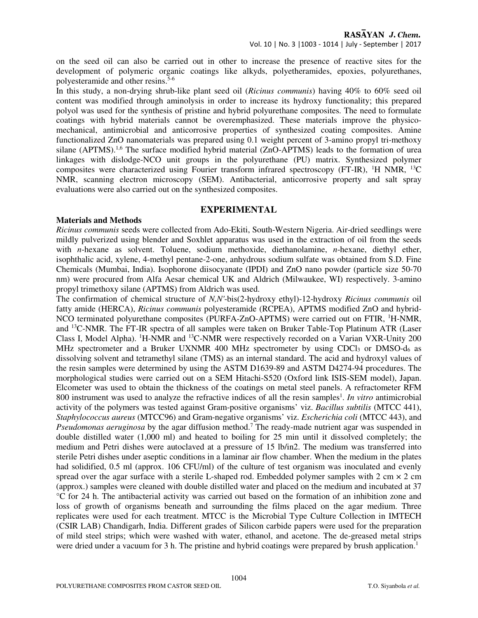on the seed oil can also be carried out in other to increase the presence of reactive sites for the development of polymeric organic coatings like alkyds, polyetheramides, epoxies, polyurethanes, polyesteramide and other resins.<sup>5-6</sup>

In this study, a non-drying shrub-like plant seed oil (*Ricinus communis*) having 40% to 60% seed oil content was modified through aminolysis in order to increase its hydroxy functionality; this prepared polyol was used for the synthesis of pristine and hybrid polyurethane composites. The need to formulate coatings with hybrid materials cannot be overemphasized. These materials improve the physicomechanical, antimicrobial and anticorrosive properties of synthesized coating composites. Amine functionalized ZnO nanomaterials was prepared using 0.1 weight percent of 3-amino propyl tri-methoxy silane (APTMS).<sup>1,6</sup> The surface modified hybrid material (ZnO-APTMS) leads to the formation of urea linkages with dislodge-NCO unit groups in the polyurethane (PU) matrix. Synthesized polymer composites were characterized using Fourier transform infrared spectroscopy (FT-IR), <sup>1</sup>H NMR, <sup>13</sup>C NMR, scanning electron microscopy (SEM). Antibacterial, anticorrosive property and salt spray evaluations were also carried out on the synthesized composites.

## **EXPERIMENTAL**

## **Materials and Methods**

*Ricinus communis* seeds were collected from Ado-Ekiti, South-Western Nigeria. Air-dried seedlings were mildly pulverized using blender and Soxhlet apparatus was used in the extraction of oil from the seeds with *n*-hexane as solvent. Toluene, sodium methoxide, diethanolamine, *n*-hexane, diethyl ether, isophthalic acid, xylene, 4-methyl pentane-2-one, anhydrous sodium sulfate was obtained from S.D. Fine Chemicals (Mumbai, India). Isophorone diisocyanate (IPDI) and ZnO nano powder (particle size 50-70 nm) were procured from Alfa Aesar chemical UK and Aldrich (Milwaukee, WI) respectively. 3-amino propyl trimethoxy silane (APTMS) from Aldrich was used.

The confirmation of chemical structure of *N,N'*-bis(2-hydroxy ethyl)-12-hydroxy *Ricinus communis* oil fatty amide (HERCA), *Ricinus communis* polyesteramide (RCPEA), APTMS modified ZnO and hybrid-NCO terminated polyurethane composites (PURFA-ZnO-APTMS) were carried out on FTIR, <sup>1</sup>H-NMR, and <sup>13</sup>C-NMR. The FT-IR spectra of all samples were taken on Bruker Table-Top Platinum ATR (Laser Class I, Model Alpha). <sup>1</sup>H-NMR and <sup>13</sup>C-NMR were respectively recorded on a Varian VXR-Unity 200 MHz spectrometer and a Bruker UXNMR 400 MHz spectrometer by using CDCl<sub>3</sub> or DMSO- $d_6$  as dissolving solvent and tetramethyl silane (TMS) as an internal standard. The acid and hydroxyl values of the resin samples were determined by using the ASTM D1639-89 and ASTM D4274-94 procedures. The morphological studies were carried out on a SEM Hitachi-S520 (Oxford link ISIS-SEM model), Japan. Elcometer was used to obtain the thickness of the coatings on metal steel panels. A refractometer RFM 800 instrument was used to analyze the refractive indices of all the resin samples<sup>1</sup>. In vitro antimicrobial activity of the polymers was tested against Gram-positive organisms' viz. *Bacillus subtilis* (MTCC 441), *Staphylococcus aureus* (MTCC96) and Gram-negative organisms' viz. *Escherichia coli* (MTCC 443), and Pseudomonas aeruginosa by the agar diffusion method.<sup>7</sup> The ready-made nutrient agar was suspended in double distilled water (1,000 ml) and heated to boiling for 25 min until it dissolved completely; the medium and Petri dishes were autoclaved at a pressure of 15 lb/in2. The medium was transferred into sterile Petri dishes under aseptic conditions in a laminar air flow chamber. When the medium in the plates had solidified, 0.5 ml (approx. 106 CFU/ml) of the culture of test organism was inoculated and evenly spread over the agar surface with a sterile L-shaped rod. Embedded polymer samples with  $2 \text{ cm} \times 2 \text{ cm}$ (approx.) samples were cleaned with double distilled water and placed on the medium and incubated at 37 °C for 24 h. The antibacterial activity was carried out based on the formation of an inhibition zone and loss of growth of organisms beneath and surrounding the films placed on the agar medium. Three replicates were used for each treatment. MTCC is the Microbial Type Culture Collection in IMTECH (CSIR LAB) Chandigarh, India. Different grades of Silicon carbide papers were used for the preparation of mild steel strips; which were washed with water, ethanol, and acetone. The de-greased metal strips were dried under a vacuum for 3 h. The pristine and hybrid coatings were prepared by brush application.<sup>1</sup>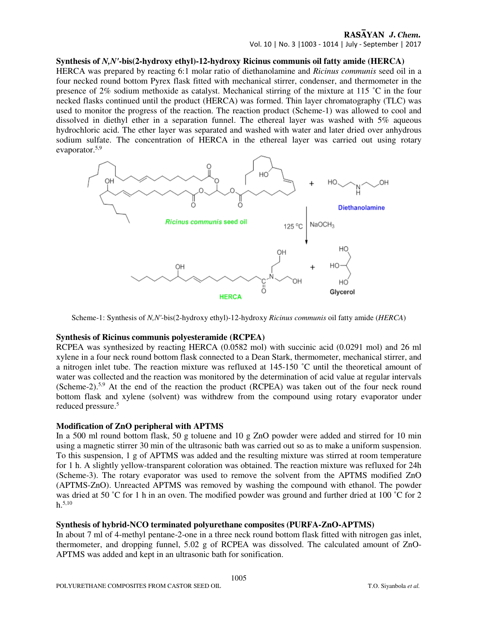Vol. 10 | No. 3 |1003 - 1014 | July - September | 2017

## **Synthesis of** *N,N'***-bis(2-hydroxy ethyl)-12-hydroxy Ricinus communis oil fatty amide (HERCA)**

HERCA was prepared by reacting 6:1 molar ratio of diethanolamine and *Ricinus communis* seed oil in a four necked round bottom Pyrex flask fitted with mechanical stirrer, condenser, and thermometer in the presence of 2% sodium methoxide as catalyst. Mechanical stirring of the mixture at 115 ˚C in the four necked flasks continued until the product (HERCA) was formed. Thin layer chromatography (TLC) was used to monitor the progress of the reaction. The reaction product (Scheme-1) was allowed to cool and dissolved in diethyl ether in a separation funnel. The ethereal layer was washed with 5% aqueous hydrochloric acid. The ether layer was separated and washed with water and later dried over anhydrous sodium sulfate. The concentration of HERCA in the ethereal layer was carried out using rotary evaporator.5,9



Scheme-1: Synthesis of *N,N'*-bis(2-hydroxy ethyl)-12-hydroxy *Ricinus communis* oil fatty amide (*HERCA*)

## **Synthesis of Ricinus communis polyesteramide (RCPEA)**

RCPEA was synthesized by reacting HERCA (0.0582 mol) with succinic acid (0.0291 mol) and 26 ml xylene in a four neck round bottom flask connected to a Dean Stark, thermometer, mechanical stirrer, and a nitrogen inlet tube. The reaction mixture was refluxed at 145-150 ˚C until the theoretical amount of water was collected and the reaction was monitored by the determination of acid value at regular intervals (Scheme-2).5,9 At the end of the reaction the product (RCPEA) was taken out of the four neck round bottom flask and xylene (solvent) was withdrew from the compound using rotary evaporator under reduced pressure.<sup>5</sup>

## **Modification of ZnO peripheral with APTMS**

In a 500 ml round bottom flask, 50 g toluene and 10 g ZnO powder were added and stirred for 10 min using a magnetic stirrer 30 min of the ultrasonic bath was carried out so as to make a uniform suspension. To this suspension, 1 g of APTMS was added and the resulting mixture was stirred at room temperature for 1 h. A slightly yellow-transparent coloration was obtained. The reaction mixture was refluxed for 24h (Scheme-3). The rotary evaporator was used to remove the solvent from the APTMS modified ZnO (APTMS-ZnO). Unreacted APTMS was removed by washing the compound with ethanol. The powder was dried at 50 °C for 1 h in an oven. The modified powder was ground and further dried at 100 °C for 2  $h^{5,10}$ 

## **Synthesis of hybrid-NCO terminated polyurethane composites (PURFA-ZnO-APTMS)**

In about 7 ml of 4-methyl pentane-2-one in a three neck round bottom flask fitted with nitrogen gas inlet, thermometer, and dropping funnel, 5.02 g of RCPEA was dissolved. The calculated amount of ZnO-APTMS was added and kept in an ultrasonic bath for sonification.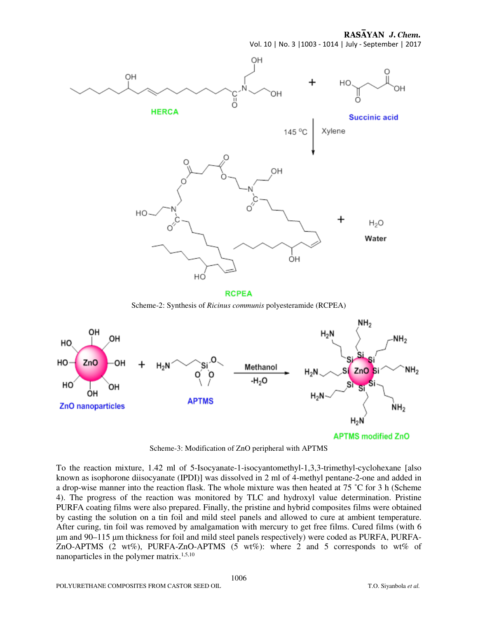



**RCPEA** 

Scheme-2: Synthesis of *Ricinus communis* polyesteramide (RCPEA)



Scheme-3: Modification of ZnO peripheral with APTMS

To the reaction mixture, 1.42 ml of 5-Isocyanate-1-isocyantomethyl-1,3,3-trimethyl-cyclohexane [also known as isophorone diisocyanate (IPDI)] was dissolved in 2 ml of 4-methyl pentane-2-one and added in a drop-wise manner into the reaction flask. The whole mixture was then heated at 75 ˚C for 3 h (Scheme 4). The progress of the reaction was monitored by TLC and hydroxyl value determination. Pristine PURFA coating films were also prepared. Finally, the pristine and hybrid composites films were obtained by casting the solution on a tin foil and mild steel panels and allowed to cure at ambient temperature. After curing, tin foil was removed by amalgamation with mercury to get free films. Cured films (with 6 µm and 90–115 µm thickness for foil and mild steel panels respectively) were coded as PURFA, PURFA-ZnO-APTMS (2 wt%), PURFA-ZnO-APTMS (5 wt%): where 2 and 5 corresponds to wt% of nanoparticles in the polymer matrix.<sup>1,5,10</sup>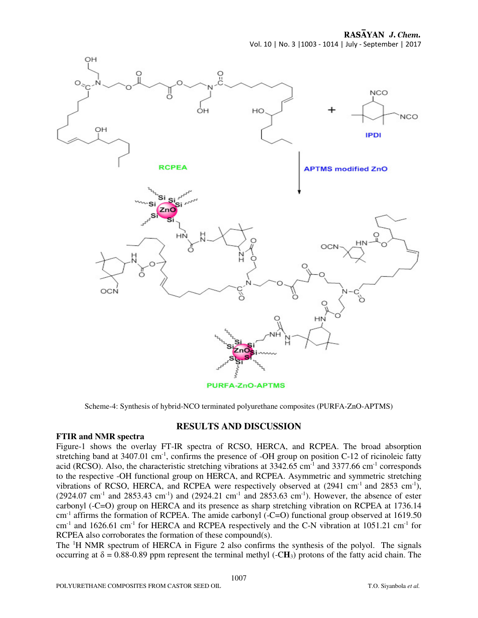RASAYAN J. Chem.

Vol. 10 | No. 3 |1003 - 1014 | July - September | 2017



Scheme-4: Synthesis of hybrid-NCO terminated polyurethane composites (PURFA-ZnO-APTMS)

## **RESULTS AND DISCUSSION**

#### **FTIR and NMR spectra**

Figure-1 shows the overlay FT-IR spectra of RCSO, HERCA, and RCPEA. The broad absorption stretching band at  $3407.01 \text{ cm}^{-1}$ , confirms the presence of -OH group on position C-12 of ricinoleic fatty acid (RCSO). Also, the characteristic stretching vibrations at 3342.65 cm-1 and 3377.66 cm-1 corresponds to the respective -OH functional group on HERCA, and RCPEA. Asymmetric and symmetric stretching vibrations of RCSO, HERCA, and RCPEA were respectively observed at  $(2941 \text{ cm}^{-1} \text{ and } 2853 \text{ cm}^{-1})$ ,  $(2924.07 \text{ cm}^{-1}$  and  $2853.43 \text{ cm}^{-1})$  and  $(2924.21 \text{ cm}^{-1}$  and  $2853.63 \text{ cm}^{-1})$ . However, the absence of ester carbonyl (-C=O) group on HERCA and its presence as sharp stretching vibration on RCPEA at 1736.14 cm<sup>-1</sup> affirms the formation of RCPEA. The amide carbonyl (-C=O) functional group observed at 1619.50 cm<sup>-1</sup> and 1626.61 cm<sup>-1</sup> for HERCA and RCPEA respectively and the C-N vibration at 1051.21 cm<sup>-1</sup> for RCPEA also corroborates the formation of these compound(s).

The <sup>1</sup>H NMR spectrum of HERCA in Figure 2 also confirms the synthesis of the polyol. The signals occurring at  $\delta = 0.88$ -0.89 ppm represent the terminal methyl (-CH<sub>3</sub>) protons of the fatty acid chain. The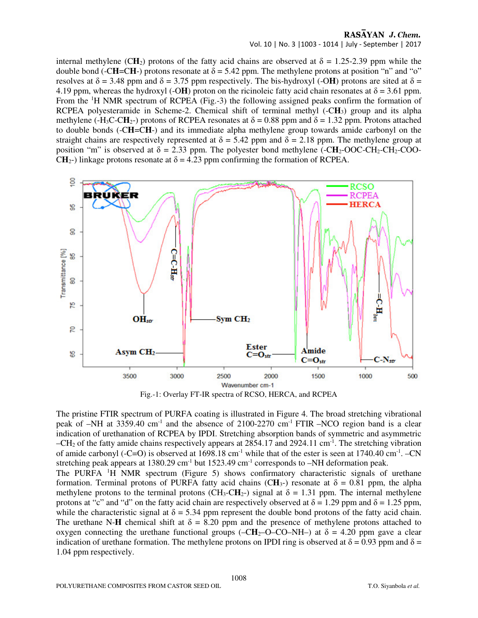Vol. 10 | No. 3 |1003 - 1014 | July - September | 2017

internal methylene (CH<sub>2</sub>) protons of the fatty acid chains are observed at  $\delta = 1.25$ -2.39 ppm while the double bond (-C**H**=C**H**-) protons resonate at  $δ = 5.42$  ppm. The methylene protons at position "n" and "o" resolves at  $\delta$  = 3.48 ppm and  $\delta$  = 3.75 ppm respectively. The bis-hydroxyl (-OH) protons are sited at  $\delta$  = 4.19 ppm, whereas the hydroxyl (-OH) proton on the ricinoleic fatty acid chain resonates at  $\delta$  = 3.61 ppm. From the <sup>1</sup>H NMR spectrum of RCPEA (Fig.-3) the following assigned peaks confirm the formation of RCPEA polyesteramide in Scheme-2. Chemical shift of terminal methyl (-C**H**3) group and its alpha methylene (-H<sub>3</sub>C-CH<sub>2</sub>-) protons of RCPEA resonates at  $\delta = 0.88$  ppm and  $\delta = 1.32$  ppm. Protons attached to double bonds (-C**H**=C**H**-) and its immediate alpha methylene group towards amide carbonyl on the straight chains are respectively represented at  $\delta = 5.42$  ppm and  $\delta = 2.18$  ppm. The methylene group at position "m" is observed at  $\delta = 2.33$  ppm. The polyester bond methylene (-CH<sub>2</sub>-OOC-CH<sub>2</sub>-CO<sub>2</sub>-CO<sub>2</sub>-CO<sub>2</sub>-CO<sub>2</sub>-CO<sub>2</sub>-CO<sub>2</sub> CH<sub>2</sub>-) linkage protons resonate at  $\delta = 4.23$  ppm confirming the formation of RCPEA.



Fig.-1: Overlay FT-IR spectra of RCSO, HERCA, and RCPEA

The pristine FTIR spectrum of PURFA coating is illustrated in Figure 4. The broad stretching vibrational peak of  $-NH$  at 3359.40 cm<sup>-1</sup> and the absence of 2100-2270 cm<sup>-1</sup> FTIR  $-NCO$  region band is a clear indication of urethanation of RCPEA by IPDI. Stretching absorption bands of symmetric and asymmetric –CH2 of the fatty amide chains respectively appears at 2854.17 and 2924.11 cm-1. The stretching vibration of amide carbonyl (-C=O) is observed at  $1698.18 \text{ cm}^{-1}$  while that of the ester is seen at  $1740.40 \text{ cm}^{-1}$ . –CN stretching peak appears at 1380.29 cm<sup>-1</sup> but 1523.49 cm<sup>-1</sup> corresponds to  $-NH$  deformation peak.

The PURFA <sup>1</sup>H NMR spectrum (Figure 5) shows confirmatory characteristic signals of urethane formation. Terminal protons of PURFA fatty acid chains (CH<sub>3</sub>-) resonate at  $\delta = 0.81$  ppm, the alpha methylene protons to the terminal protons (CH<sub>3</sub>-CH<sub>2</sub>-) signal at  $\delta = 1.31$  ppm. The internal methylene protons at "c" and "d" on the fatty acid chain are respectively observed at  $\delta = 1.29$  ppm and  $\delta = 1.25$  ppm, while the characteristic signal at  $\delta = 5.34$  ppm represent the double bond protons of the fatty acid chain. The urethane N-**H** chemical shift at  $\delta = 8.20$  ppm and the presence of methylene protons attached to oxygen connecting the urethane functional groups (– $CH_2$ –O–CO–NH–) at  $\delta$  = 4.20 ppm gave a clear indication of urethane formation. The methylene protons on IPDI ring is observed at  $\delta = 0.93$  ppm and  $\delta =$ 1.04 ppm respectively.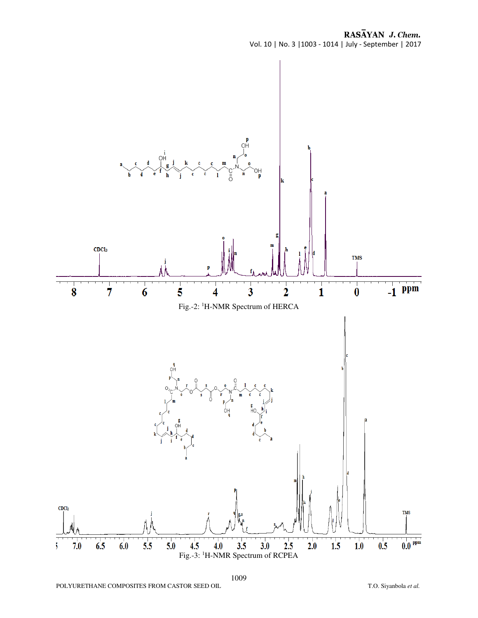RASAYAN J. Chem. Vol. 10 | No. 3 |1003 - 1014 | July - September | 2017

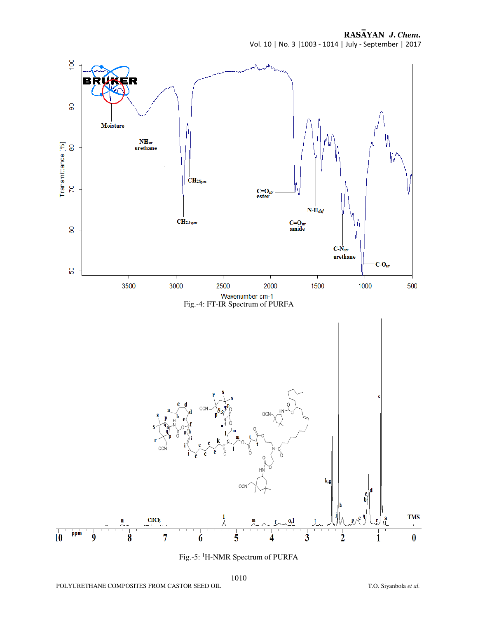RASAYAN J. Chem. Vol. 10 | No. 3 |1003 - 1014 | July - September | 2017



Fig.-5: 1H-NMR Spectrum of PURFA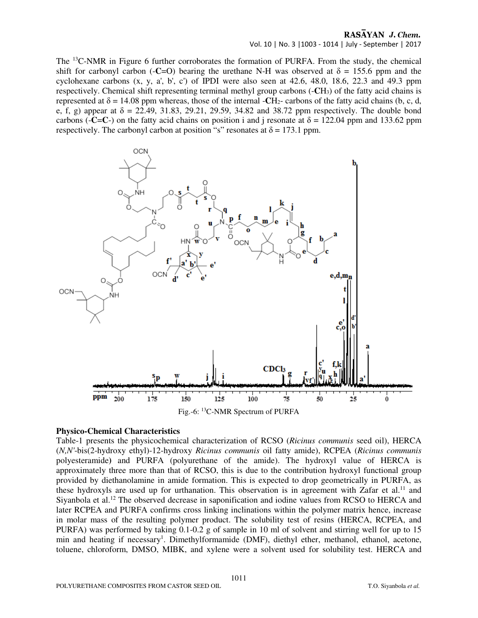Vol. 10 | No. 3 |1003 - 1014 | July - September | 2017

The <sup>13</sup>C-NMR in Figure 6 further corroborates the formation of PURFA. From the study, the chemical shift for carbonyl carbon (-**C**=O) bearing the urethane N-H was observed at  $\delta$  = 155.6 ppm and the cyclohexane carbons  $(x, y, a', b', c')$  of IPDI were also seen at 42.6, 48.0, 18.6, 22.3 and 49.3 ppm respectively. Chemical shift representing terminal methyl group carbons (-**C**H3) of the fatty acid chains is represented at  $\delta = 14.08$  ppm whereas, those of the internal -**C**H<sub>2</sub>- carbons of the fatty acid chains (b, c, d, e, f, g) appear at  $\delta = 22.49, 31.83, 29.21, 29.59, 34.82$  and 38.72 ppm respectively. The double bond carbons ( $-C=C$ ) on the fatty acid chains on position i and j resonate at  $\delta = 122.04$  ppm and 133.62 ppm respectively. The carbonyl carbon at position "s" resonates at  $\delta = 173.1$  ppm.



#### **Physico-Chemical Characteristics**

Table-1 presents the physicochemical characterization of RCSO (*Ricinus communis* seed oil), HERCA (*N,N'*-bis(2-hydroxy ethyl)-12-hydroxy *Ricinus communis* oil fatty amide), RCPEA (*Ricinus communis* polyesteramide**)** and PURFA (polyurethane of the amide). The hydroxyl value of HERCA is approximately three more than that of RCSO, this is due to the contribution hydroxyl functional group provided by diethanolamine in amide formation. This is expected to drop geometrically in PURFA, as these hydroxyls are used up for urthanation. This observation is in agreement with Zafar et al.<sup>11</sup> and Siyanbola et al.<sup>12</sup> The observed decrease in saponification and iodine values from RCSO to HERCA and later RCPEA and PURFA confirms cross linking inclinations within the polymer matrix hence, increase in molar mass of the resulting polymer product. The solubility test of resins (HERCA, RCPEA, and PURFA) was performed by taking 0.1-0.2 g of sample in 10 ml of solvent and stirring well for up to 15 min and heating if necessary<sup>1</sup>. Dimethylformamide (DMF), diethyl ether, methanol, ethanol, acetone, toluene, chloroform, DMSO, MIBK, and xylene were a solvent used for solubility test. HERCA and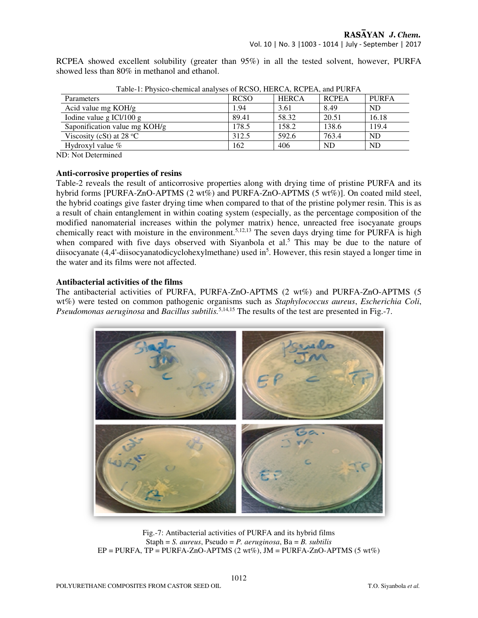Vol. 10 | No. 3 |1003 - 1014 | July - September | 2017

RCPEA showed excellent solubility (greater than 95%) in all the tested solvent, however, PURFA showed less than 80% in methanol and ethanol.

| Table-1. FIIVSICO-CHEIIIICAI AIIAIVSES OI NUSU, HENUA, NUFEA, AIIU FUNFA |             |              |              |              |  |
|--------------------------------------------------------------------------|-------------|--------------|--------------|--------------|--|
| Parameters                                                               | <b>RCSO</b> | <b>HERCA</b> | <b>RCPEA</b> | <b>PURFA</b> |  |
| Acid value mg KOH/g                                                      | 1.94        | 3.61         | 8.49         | <b>ND</b>    |  |
| Iodine value g ICl $/100$ g                                              | 89.41       | 58.32        | 20.51        | 16.18        |  |
| Saponification value mg KOH/g                                            | 178.5       | 158.2        | 138.6        | 119.4        |  |
| Viscosity (cSt) at 28 $^{\circ}$ C                                       | 312.5       | 592.6        | 763.4        | <b>ND</b>    |  |
| Hydroxyl value $\%$                                                      | 162         | 406          | <b>ND</b>    | <b>ND</b>    |  |

Table-1: Physico-chemical analyses of RCSO, HERCA, RCPEA, and PURFA

ND: Not Determined

#### **Anti-corrosive properties of resins**

Table-2 reveals the result of anticorrosive properties along with drying time of pristine PURFA and its hybrid forms [PURFA-ZnO-APTMS (2 wt%) and PURFA-ZnO-APTMS (5 wt%)]. On coated mild steel, the hybrid coatings give faster drying time when compared to that of the pristine polymer resin. This is as a result of chain entanglement in within coating system (especially, as the percentage composition of the modified nanomaterial increases within the polymer matrix) hence, unreacted free isocyanate groups chemically react with moisture in the environment.<sup>5,12,13</sup> The seven days drying time for PURFA is high when compared with five days observed with Siyanbola et al.<sup>5</sup> This may be due to the nature of diisocyanate (4,4'-diisocyanatodicyclohexylmethane) used in<sup>5</sup>. However, this resin stayed a longer time in the water and its films were not affected.

#### **Antibacterial activities of the films**

The antibacterial activities of PURFA, PURFA-ZnO-APTMS (2 wt%) and PURFA-ZnO-APTMS (5 wt%) were tested on common pathogenic organisms such as *Staphylococcus aureus*, *Escherichia Coli*, *Pseudomonas aeruginosa* and *Bacillus subtilis.*5,14,15 The results of the test are presented in Fig.-7.



Fig.-7: Antibacterial activities of PURFA and its hybrid films Staph = *S. aureus*, Pseudo = *P. aeruginosa*, Ba = *B. subtilis*   $EP = PURFA$ ,  $TP = PURFA-ZnO-APTMS$  (2 wt%),  $JM = PURFA-ZnO-APTMS$  (5 wt%)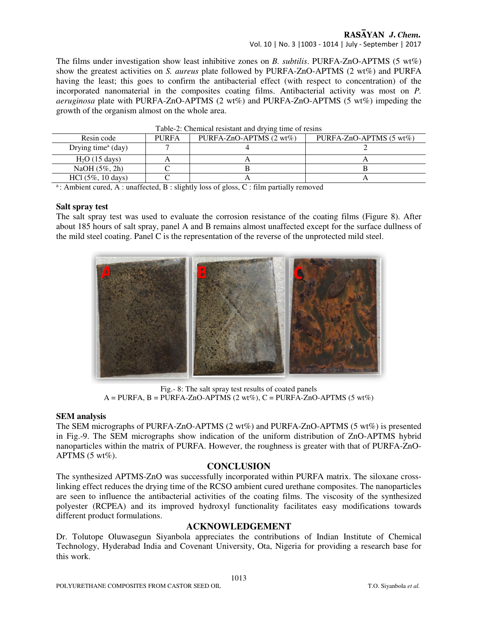Vol. 10 | No. 3 |1003 - 1014 | July - September | 2017

The films under investigation show least inhibitive zones on *B. subtilis*. PURFA-ZnO-APTMS (5 wt%) show the greatest activities on *S. aureus* plate followed by PURFA-ZnO-APTMS (2 wt%) and PURFA having the least; this goes to confirm the antibacterial effect (with respect to concentration) of the incorporated nanomaterial in the composites coating films. Antibacterial activity was most on *P. aeruginosa* plate with PURFA-ZnO-APTMS (2 wt%) and PURFA-ZnO-APTMS (5 wt%) impeding the growth of the organism almost on the whole area.

| I able-2. Chemical resistant and diving three of results |              |                                    |                                    |  |  |
|----------------------------------------------------------|--------------|------------------------------------|------------------------------------|--|--|
| Resin code                                               | <b>PURFA</b> | PURFA-ZnO-APTMS $(2 \text{ wt\%})$ | PURFA-ZnO-APTMS $(5 \text{ wt\%})$ |  |  |
| Drying time $a$ (day)                                    |              |                                    |                                    |  |  |
| $H2O$ (15 days)                                          |              |                                    |                                    |  |  |
| NaOH $(5\%, 2h)$                                         |              |                                    |                                    |  |  |
| $HC1 (5\%, 10 \text{ days})$                             |              |                                    |                                    |  |  |

<sup>a</sup>: Ambient cured, A : unaffected, B : slightly loss of gloss, C : film partially removed

#### **Salt spray test**

The salt spray test was used to evaluate the corrosion resistance of the coating films (Figure 8). After about 185 hours of salt spray, panel A and B remains almost unaffected except for the surface dullness of the mild steel coating. Panel C is the representation of the reverse of the unprotected mild steel.



Fig.- 8: The salt spray test results of coated panels  $A = PURFA, B = PURFA-ZnO-APTMS$  (2 wt%),  $C = PURFA-ZnO-APTMS$  (5 wt%)

## **SEM analysis**

The SEM micrographs of PURFA-ZnO-APTMS (2 wt%) and PURFA-ZnO-APTMS (5 wt%) is presented in Fig.-9. The SEM micrographs show indication of the uniform distribution of ZnO-APTMS hybrid nanoparticles within the matrix of PURFA. However, the roughness is greater with that of PURFA-ZnO-APTMS  $(5 \text{ wt\%})$ .

## **CONCLUSION**

The synthesized APTMS-ZnO was successfully incorporated within PURFA matrix. The siloxane crosslinking effect reduces the drying time of the RCSO ambient cured urethane composites. The nanoparticles are seen to influence the antibacterial activities of the coating films. The viscosity of the synthesized polyester (RCPEA) and its improved hydroxyl functionality facilitates easy modifications towards different product formulations.

## **ACKNOWLEDGEMENT**

Dr. Tolutope Oluwasegun Siyanbola appreciates the contributions of Indian Institute of Chemical Technology, Hyderabad India and Covenant University, Ota, Nigeria for providing a research base for this work.